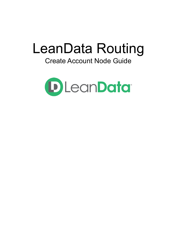# LeanData Routing

# Create Account Node Guide

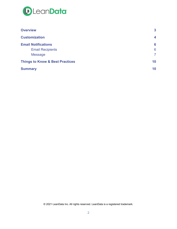

| <b>Overview</b>                            | 3  |
|--------------------------------------------|----|
| <b>Customization</b>                       | 4  |
| <b>Email Notifications</b>                 | 6  |
| <b>Email Recipients</b>                    | 6  |
| <b>Message</b>                             | 7  |
| <b>Things to Know &amp; Best Practices</b> | 10 |
| <b>Summary</b>                             | 10 |

© 2021 LeanData Inc. All rights reserved. LeanData is a registered trademark.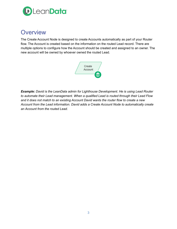

## <span id="page-2-0"></span>**Overview**

The Create Account Node is designed to create Accounts automatically as part of your Router flow. The Account is created based on the information on the routed Lead record. There are multiple options to configure how the Account should be created and assigned to an owner. The new account will be owned by whoever owned the routed Lead.



*Example: David is the LeanData admin for Lighthouse Development. He is using Lead Router to automate their Lead management. When a qualified Lead is routed through their Lead Flow and it does not match to an existing Account David wants the router flow to create a new Account from the Lead information. David adds a Create Account Node to automatically create an Account from the routed Lead.*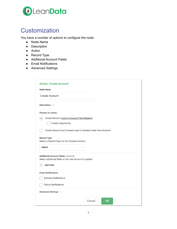

# <span id="page-3-0"></span>**Customization**

You have a number of options to configure the node.

- Node Name
- Description
- Action
- Record Type
- Additional Account Fields
- Email Notifications
- Advanced Settings

| <b>Action: Create Account</b>                                       |
|---------------------------------------------------------------------|
| <b>Node Name</b>                                                    |
| <b>Create Account</b>                                               |
| Description >                                                       |
| Choose an action:                                                   |
| Create Account Lead-to-Account Field Mapping<br>$\bullet$           |
| <b>Create Opportunity</b>                                           |
| Create Account and Convert Lead to Contact Under New Account        |
| <b>Record Type</b><br>Select a Record Type for the Created Account. |
| Default                                                             |
| <b>Additional Account Fields (Optional)</b>                         |
| Select additional fields on the new Account to update.              |
| $^{(+)}$<br><b>Add Field</b>                                        |
| <b>Email Notifications</b>                                          |
| <b>Success Notifications</b>                                        |
| <b>Failure Notifications</b>                                        |
| Advanced Settings >                                                 |
| Cancel<br>OK                                                        |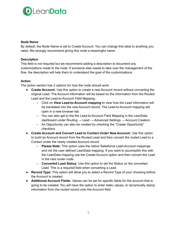

#### **Node Name**

By default, the Node Name is set to Create Account. You can change this label to anything you need. We strongly recommend giving this node a meaningful name.

#### **Description**

This field is not required but we recommend adding a description to document any customizations made to the node. If someone else needs to take over the management of the flow, the description will help them to understand the goal of the customizations.

#### **Action**

The action section has 2 options for how the node should work:

- **Create Account:** Use this option to create a new Account record without converting the original Lead. The Account information will be based on the information from the Routed Lead and the Lead-to-Account Field Mapping.
	- Click on **View Lead-to-Account mapping** to view how the Lead information will be translated into the new Account record. The Lead-to-Account mapping will open in a new browser tab.
	- You can also get to the the Lead-to-Account Field Mapping in the LeanData dashboard under Routing  $\rightarrow$  Lead  $\rightarrow$  Advanced Settings  $\rightarrow$  Account Creation.
	- An Opportunity can also be created by checking the "Create Opportunity" checkbox.
- **Create Account and Convert Lead to Contact Under New Account:** Use this option to build an Account record from the Routed Lead and then convert the routed Lead to a Contact under the newly created Account record.
	- **Please Note:** This option uses the native Salesforce Lead-Account mappings and not the user defined LeanData mapping. If you want to accomplish this with the LeanData mapping use the Create Account option and then convert the Lead in the next router node.
	- **Converted Lead Status:** Use this option to set the Status on the converted Lead. This is a required field when converting a Lead.
- **Record Type:** This option will allow you to select a Record Type of your choosing before the Account is created.
- **Additional Account Fields**: Values can be set for specific fields for the account that is going to be created. You will have the option to enter static values, or dynamically stamp information from the routed record onto the Account field.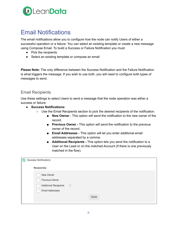

# <span id="page-5-0"></span>Email Notifications

The email notifications allow you to configure how the node can notify Users of either a successful operation or a failure. You can select an existing template or create a new message using Compose Email. To build a Success or Failure Notification you must:

- Pick the recipients
- Select an existing template or compose an email

**Please Note:** The only difference between the Success Notification and the Failure Notification is what triggers the message. If you wish to use both, you will need to configure both types of messages to send.

#### <span id="page-5-1"></span>Email Recipients

Use these settings to select Users to send a message that the node operation was either a success or failure:

- **Success Notifications:**
	- Use the Email Recipients section to pick the desired recipients of the notification.
		- **New Owner** This option will send the notification to the new owner of the record.
		- **Previous Owner -** This option will send the notification to the previous owner of the record.
		- **Email Addresses** This option will let you enter additional email addresses separated by a comma.
		- **Additional Recipients** This option lets you send the notification to a User on the Lead or on the matched Account (if there is one previously matched in the flow).

| Success Notifications               |      |  |
|-------------------------------------|------|--|
| Recipient(s)                        |      |  |
| New Owner                           |      |  |
| Previous Owner                      |      |  |
| (2)<br><b>Additional Recipients</b> |      |  |
| Email Addresses                     |      |  |
|                                     | Done |  |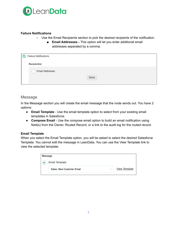

#### **Failure Notifications**

- Use the Email Recipients section to pick the desired recipients of the notification.
	- **Email Addresses -** This option will let you enter additional email addresses separated by a comma.

| w | <b>Failure Notifications</b> |      |
|---|------------------------------|------|
|   | Recipient(s)                 |      |
|   | Email Addresses              |      |
|   |                              | Done |
|   |                              |      |

#### <span id="page-6-0"></span>Message

In the Message section you will create the email message that the node sends out. You have 2 options:

- **Email Template** Use the email template option to select from your existing email templates in Salesforce.
- **Compose Email** Use the compose email option to build an email notification using field(s) from the Owner, Routed Record, or a link to the audit log for the routed record.

#### **Email Template**

When you select the Email Template option, you will be asked to select the desired Salesforce Template. You cannot edit the message in LeanData. You can use the View Template link to view the selected template.

| Message |                           |        |                      |  |
|---------|---------------------------|--------|----------------------|--|
| 6 €     | Email Template            |        |                      |  |
|         | Sales: New Customer Email | $\sim$ | <b>View Template</b> |  |
|         |                           |        |                      |  |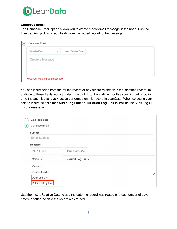

#### **Compose Email**

The Compose Email option allows you to create a new email message in the node. Use the Insert a Field picklist to add fields from the routed record to the message.

| Insert a Field   | Insert Relative Date<br>$\sim$ |  |
|------------------|--------------------------------|--|
| Create a Message |                                |  |
|                  |                                |  |
|                  |                                |  |
|                  |                                |  |

You can insert fields from the routed record or any record related with the matched record. In addition to these fields, you can also insert a link to the audit log for this specific routing action, or to the audit log for every action performed on this record in LeanData. When selecting your field to insert, select either **Audit Log Link** or **Full Audit Log Link** to include the Audit Log URL in your message.

| <b>Email Template</b>          |                                   |
|--------------------------------|-----------------------------------|
| Compose Email                  |                                   |
| <b>Subject</b>                 |                                   |
| Enter Subject                  |                                   |
| <b>Message</b>                 |                                   |
| Insert a Field<br>$\checkmark$ | <b>Insert Relative Date</b>       |
| Object »                       | <audit.log.full></audit.log.full> |
| Owner ▶                        |                                   |
| Routed Lead ▶                  |                                   |
| F Audit Log Link               |                                   |
| Full Audit Log Link            |                                   |

Use the Insert Relative Date to add the date the record was routed or a set number of days before or after the date the record was routed.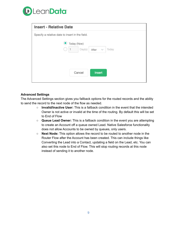

| <b>Insert - Relative Date</b>                   |
|-------------------------------------------------|
| Specify a relative date to insert in the field. |
| Today (Now)<br>$\bullet$                        |
| Day(s) After $\sim$ Today<br>i.                 |
|                                                 |
|                                                 |
| Cancel<br><b>Insert</b>                         |
|                                                 |

#### **Advanced Settings**

The Advanced Settings section gives you fallback options for the routed records and the ability to send the record to the next node of the flow as needed.

- **Invalid/Inactive User:** This is a fallback condition in the event that the intended Owner is not active or invalid at the time of the routing. By default this will be set to End of Flow
- **Queue Lead Owner:** This is a fallback condition in the event you are attempting to create an Account off a queue owned Lead. Native Salesforce functionality does not allow Accounts to be owned by queues, only users.
- **Next Node:** This option allows the record to be routed to another node in the Router Flow after the Account has been created. This can include things like Converting the Lead into a Contact, updating a field on the Lead, etc. You can also set this node to End of Flow. This will stop routing records at this node instead of sending it to another node.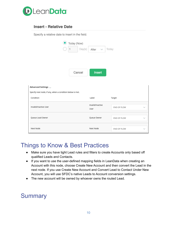

#### **Insert - Relative Date**

Specify a relative date to insert in the field.

|                                                           | Today (Now)<br>Day(s) | After<br>$\sim$          | Today       |              |
|-----------------------------------------------------------|-----------------------|--------------------------|-------------|--------------|
|                                                           | Cancel                | <b>Insert</b>            |             |              |
| Advanced Settings $\smile$                                |                       |                          |             |              |
| Specify next node, if any, when a condition below is met. |                       |                          |             |              |
| Condition                                                 |                       | Label                    | Target      |              |
| Invalid/Inactive User                                     |                       | Invalid/Inactive<br>User | END OF FLOW | $\checkmark$ |
| Queue Lead Owner                                          |                       | Queue Owner              | END OF FLOW | $\checkmark$ |
| Next Node                                                 |                       | Next Node                | END OF FLOW | $\checkmark$ |

## <span id="page-9-0"></span>Things to Know & Best Practices

- Make sure you have tight Lead rules and filters to create Accounts only based off qualified Leads and Contacts.
- If you want to use the user-defined mapping fields in LeanData when creating an Account with this node, choose Create New Account and then convert the Lead in the next node. If you use Create New Account and Convert Lead to Contact Under New Account, you will use SFDC's native Leads to Account conversion settings.
- The new account will be owned by whoever owns the routed Lead.

### <span id="page-9-1"></span>**Summary**